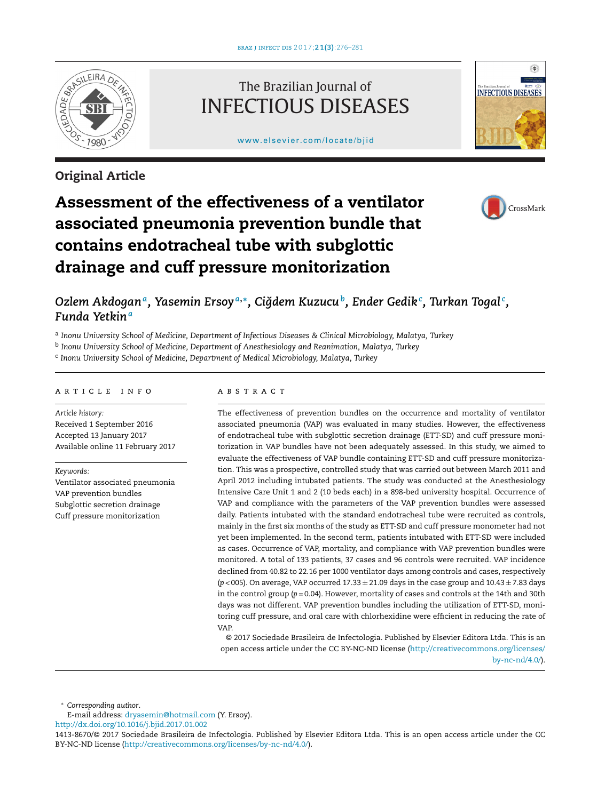

# **Original Article**

# The Brazilian Journal of INFECTIOUS DISEASES

[www.elsevier.com/locate/bjid](http://www.elsevier.com/locate/bjid)



# **Assessment of the effectiveness of a ventilator associated pneumonia prevention bundle that contains endotracheal tube with subglottic drainage and cuff pressure monitorization**



# Ozlem Akdoganª, Yasemin Ersoyª,\*, Ciğdem Kuzucuʰ, Ender Gedikʿ, Turkan Togalʿ, *Funda Yetkin<sup>a</sup>*

<sup>a</sup> *Inonu University School of Medicine, Department of Infectious Diseases & Clinical Microbiology, Malatya, Turkey*

<sup>b</sup> *Inonu University School of Medicine, Department of Anesthesiology and Reanimation, Malatya, Turkey*

<sup>c</sup> *Inonu University School of Medicine, Department of Medical Microbiology, Malatya, Turkey*

# a r t i c l e i n f o

*Article history:* Received 1 September 2016 Accepted 13 January 2017 Available online 11 February 2017

*Keywords:*

Ventilator associated pneumonia VAP prevention bundles Subglottic secretion drainage Cuff pressure monitorization

# a b s t r a c t

The effectiveness of prevention bundles on the occurrence and mortality of ventilator associated pneumonia (VAP) was evaluated in many studies. However, the effectiveness of endotracheal tube with subglottic secretion drainage (ETT-SD) and cuff pressure monitorization in VAP bundles have not been adequately assessed. In this study, we aimed to evaluate the effectiveness of VAP bundle containing ETT-SD and cuff pressure monitorization. This was a prospective, controlled study that was carried out between March 2011 and April 2012 including intubated patients. The study was conducted at the Anesthesiology Intensive Care Unit 1 and 2 (10 beds each) in a 898-bed university hospital. Occurrence of VAP and compliance with the parameters of the VAP prevention bundles were assessed daily. Patients intubated with the standard endotracheal tube were recruited as controls, mainly in the first six months of the study as ETT-SD and cuff pressure monometer had not yet been implemented. In the second term, patients intubated with ETT-SD were included as cases. Occurrence of VAP, mortality, and compliance with VAP prevention bundles were monitored. A total of 133 patients, 37 cases and 96 controls were recruited. VAP incidence declined from 40.82 to 22.16 per 1000 ventilator days among controls and cases, respectively ( $p$  < 005). On average, VAP occurred  $17.33 \pm 21.09$  days in the case group and  $10.43 \pm 7.83$  days in the control group (*p* = 0.04). However, mortality of cases and controls at the 14th and 30th days was not different. VAP prevention bundles including the utilization of ETT-SD, monitoring cuff pressure, and oral care with chlorhexidine were efficient in reducing the rate of VAP.

© 2017 Sociedade Brasileira de Infectologia. Published by Elsevier Editora Ltda. This is an open access article under the CC BY-NC-ND license ([http://creativecommons.org/licenses/](http://creativecommons.org/licenses/by-nc-nd/4.0/) [by-nc-nd/4.0/](http://creativecommons.org/licenses/by-nc-nd/4.0/)).

∗ *Corresponding author*.

E-mail address: [dryasemin@hotmail.com](mailto:dryasemin@hotmail.com) (Y. Ersoy).

[http://dx.doi.org/10.1016/j.bjid.2017.01.002](dx.doi.org/10.1016/j.bjid.2017.01.002)

<sup>1413-8670/©</sup> 2017 Sociedade Brasileira de Infectologia. Published by Elsevier Editora Ltda. This is an open access article under the CC BY-NC-ND license [\(http://creativecommons.org/licenses/by-nc-nd/4.0/](http://creativecommons.org/licenses/by-nc-nd/4.0/)).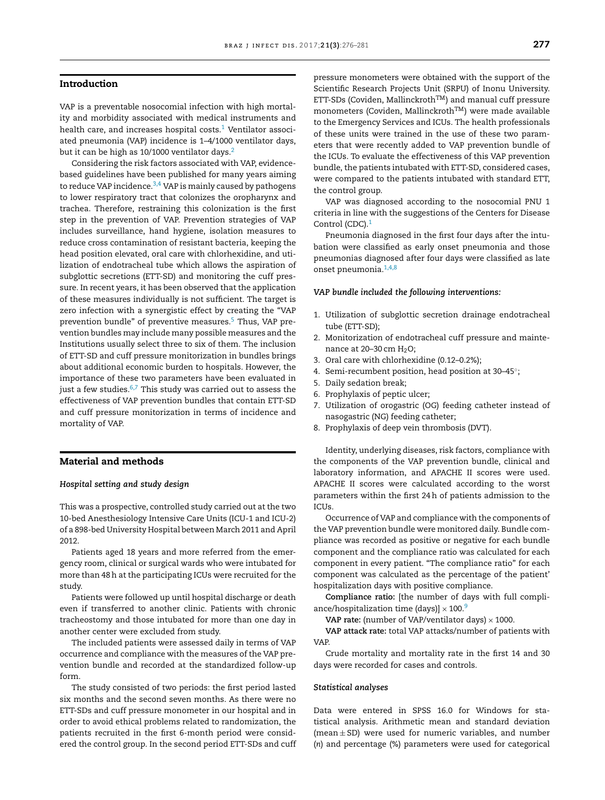# **Introduction**

VAP is a preventable nosocomial infection with high mortality and morbidity associated with medical instruments and health care, and increases hospital costs. $1$  Ventilator associated pneumonia (VAP) incidence is 1–4/1000 ventilator days, but it can be high as 10/1000 ventilator days.<sup>2</sup>

Considering the risk factors associated with VAP, evidencebased guidelines have been published for many years aiming to reduce VAP incidence. $3,4$  VAP is mainly caused by pathogens to lower respiratory tract that colonizes the oropharynx and trachea. Therefore, restraining this colonization is the first step in the prevention of VAP. Prevention strategies of VAP includes surveillance, hand hygiene, isolation measures to reduce cross contamination of resistant bacteria, keeping the head position elevated, oral care with chlorhexidine, and utilization of endotracheal tube which allows the aspiration of subglottic secretions (ETT-SD) and monitoring the cuff pressure. In recent years, it has been observed that the application of these measures individually is not sufficient. The target is zero infection with a synergistic effect by creating the "VAP prevention bundle" of preventive measures.<sup>5</sup> Thus, VAP prevention bundles may include many possible measures and the Institutions usually select three to six of them. The inclusion of ETT-SD and cuff pressure monitorization in bundles brings about additional economic burden to hospitals. However, the importance of these two parameters have been evaluated in just a few studies. $6,7$  This study was carried out to assess the effectiveness of VAP prevention bundles that contain ETT-SD and cuff pressure monitorization in terms of incidence and mortality of VAP.

### **Material and methods**

#### *Hospital setting and study design*

This was a prospective, controlled study carried out at the two 10-bed Anesthesiology Intensive Care Units (ICU-1 and ICU-2) of a 898-bed University Hospital between March 2011 and April 2012.

Patients aged 18 years and more referred from the emergency room, clinical or surgical wards who were intubated for more than 48h at the participating ICUs were recruited for the study.

Patients were followed up until hospital discharge or death even if transferred to another clinic. Patients with chronic tracheostomy and those intubated for more than one day in another center were excluded from study.

The included patients were assessed daily in terms of VAP occurrence and compliance with the measures of the VAP prevention bundle and recorded at the standardized follow-up form.

The study consisted of two periods: the first period lasted six months and the second seven months. As there were no ETT-SDs and cuff pressure monometer in our hospital and in order to avoid ethical problems related to randomization, the patients recruited in the first 6-month period were considered the control group. In the second period ETT-SDs and cuff pressure monometers were obtained with the support of the Scientific Research Projects Unit (SRPU) of Inonu University. ETT-SDs (Coviden, Mallinckroth<sup>TM</sup>) and manual cuff pressure monometers (Coviden, Mallinckroth<sup>TM</sup>) were made available to the Emergency Services and ICUs. The health professionals of these units were trained in the use of these two parameters that were recently added to VAP prevention bundle of the ICUs. To evaluate the effectiveness of this VAP prevention bundle, the patients intubated with ETT-SD, considered cases, were compared to the patients intubated with standard ETT, the control group.

VAP was diagnosed according to the nosocomial PNU 1 criteria in line with the suggestions of the Centers for Disease Control (CDC).<sup>[1](#page-4-0)</sup>

Pneumonia diagnosed in the first four days after the intubation were classified as early onset pneumonia and those pneumonias diagnosed after four days were classified as late onset pneumonia[.1,4,8](#page-4-0)

#### *VAP bundle included the following interventions:*

- 1. Utilization of subglottic secretion drainage endotracheal tube (ETT-SD);
- 2. Monitorization of endotracheal cuff pressure and maintenance at  $20-30$  cm  $H<sub>2</sub>O$ ;
- 3. Oral care with chlorhexidine (0.12–0.2%);
- 4. Semi-recumbent position, head position at 30–45◦;
- 5. Daily sedation break;
- 6. Prophylaxis of peptic ulcer;
- 7. Utilization of orogastric (OG) feeding catheter instead of nasogastric (NG) feeding catheter;
- 8. Prophylaxis of deep vein thrombosis (DVT).

Identity, underlying diseases, risk factors, compliance with the components of the VAP prevention bundle, clinical and laboratory information, and APACHE II scores were used. APACHE II scores were calculated according to the worst parameters within the first 24h of patients admission to the ICUs.

Occurrence of VAP and compliance with the components of the VAP prevention bundle were monitored daily. Bundle compliance was recorded as positive or negative for each bundle component and the compliance ratio was calculated for each component in every patient. "The compliance ratio" for each component was calculated as the percentage of the patient' hospitalization days with positive compliance.

**Compliance ratio:** [the number of days with full compliance/hospitalization time (days)]  $\times$  100.<sup>9</sup>

**VAP** rate: (number of VAP/ventilator days)  $\times$  1000.

**VAP attack rate:** total VAP attacks/number of patients with VAP.

Crude mortality and mortality rate in the first 14 and 30 days were recorded for cases and controls.

#### *Statistical analyses*

Data were entered in SPSS 16.0 for Windows for statistical analysis. Arithmetic mean and standard deviation (mean  $\pm$  SD) were used for numeric variables, and number (*n*) and percentage (%) parameters were used for categorical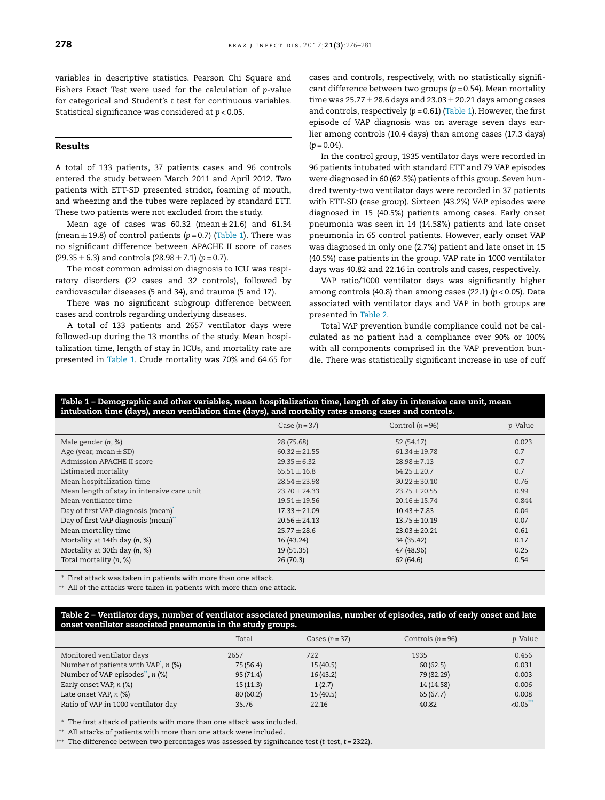variables in descriptive statistics. Pearson Chi Square and Fishers Exact Test were used for the calculation of *p*-value for categorical and Student's *t* test for continuous variables. Statistical significance was considered at *p* < 0.05.

# **Results**

A total of 133 patients, 37 patients cases and 96 controls entered the study between March 2011 and April 2012. Two patients with ETT-SD presented stridor, foaming of mouth, and wheezing and the tubes were replaced by standard ETT. These two patients were not excluded from the study.

Mean age of cases was  $60.32$  (mean  $\pm 21.6$ ) and  $61.34$ (mean  $\pm$  19.8) of control patients ( $p = 0.7$ ) (Table 1). There was no significant difference between APACHE II score of cases  $(29.35 \pm 6.3)$  and controls  $(28.98 \pm 7.1)$   $(p = 0.7)$ .

The most common admission diagnosis to ICU was respiratory disorders (22 cases and 32 controls), followed by cardiovascular diseases (5 and 34), and trauma (5 and 17).

There was no significant subgroup difference between cases and controls regarding underlying diseases.

A total of 133 patients and 2657 ventilator days were followed-up during the 13 months of the study. Mean hospitalization time, length of stay in ICUs, and mortality rate are presented in Table 1. Crude mortality was 70% and 64.65 for

cases and controls, respectively, with no statistically significant difference between two groups (*p* = 0.54). Mean mortality time was  $25.77 \pm 28.6$  days and  $23.03 \pm 20.21$  days among cases and controls, respectively  $(p = 0.61)$  (Table 1). However, the first episode of VAP diagnosis was on average seven days earlier among controls (10.4 days) than among cases (17.3 days)  $(p = 0.04)$ .

In the control group, 1935 ventilator days were recorded in 96 patients intubated with standard ETT and 79 VAP episodes were diagnosed in 60 (62.5%) patients of this group. Seven hundred twenty-two ventilator days were recorded in 37 patients with ETT-SD (case group). Sixteen (43.2%) VAP episodes were diagnosed in 15 (40.5%) patients among cases. Early onset pneumonia was seen in 14 (14.58%) patients and late onset pneumonia in 65 control patients. However, early onset VAP was diagnosed in only one (2.7%) patient and late onset in 15 (40.5%) case patients in the group. VAP rate in 1000 ventilator days was 40.82 and 22.16 in controls and cases, respectively.

VAP ratio/1000 ventilator days was significantly higher among controls (40.8) than among cases (22.1) (*p* < 0.05). Data associated with ventilator days and VAP in both groups are presented in Table 2.

Total VAP prevention bundle compliance could not be calculated as no patient had a compliance over 90% or 100% with all components comprised in the VAP prevention bundle. There was statistically significant increase in use of cuff

### Table 1 – Demographic and other variables, mean hospitalization time, length of stay in intensive care unit, mean **intubation time (days), mean ventilation time (days), and mortality rates among cases and controls.**

|                                            | Case $(n=37)$     | Control $(n=96)$  | p-Value |
|--------------------------------------------|-------------------|-------------------|---------|
| Male gender $(n, %)$                       | 28 (75.68)        | 52 (54.17)        | 0.023   |
| Age (year, mean $\pm$ SD)                  | $60.32 + 21.55$   | $61.34 \pm 19.78$ | 0.7     |
| Admission APACHE II score                  | $29.35 \pm 6.32$  | $28.98 \pm 7.13$  | 0.7     |
| Estimated mortality                        | $65.51 \pm 16.8$  | $64.25 \pm 20.7$  | 0.7     |
| Mean hospitalization time                  | $28.54 \pm 23.98$ | $30.22 \pm 30.10$ | 0.76    |
| Mean length of stay in intensive care unit | $23.70 \pm 24.33$ | $23.75 \pm 20.55$ | 0.99    |
| Mean ventilator time                       | $19.51 \pm 19.56$ | $20.16 + 15.74$   | 0.844   |
| Day of first VAP diagnosis (mean)          | $17.33 \pm 21.09$ | $10.43 \pm 7.83$  | 0.04    |
| Day of first VAP diagnosis (mean)"         | $20.56 \pm 24.13$ | $13.75 \pm 10.19$ | 0.07    |
| Mean mortality time                        | $25.77 \pm 28.6$  | $23.03 + 20.21$   | 0.61    |
| Mortality at 14th day (n, %)               | 16 (43.24)        | 34 (35.42)        | 0.17    |
| Mortality at 30th day (n, %)               | 19 (51.35)        | 47 (48.96)        | 0.25    |
| Total mortality (n, %)                     | 26(70.3)          | 62(64.6)          | 0.54    |

∗ First attack was taken in patients with more than one attack.

∗∗ All of the attacks were taken in patients with more than one attack.

#### Table 2 - Ventilator days, number of ventilator associated pneumonias, number of episodes, ratio of early onset and late **onset ventilator associated pneumonia in the study groups.**

|                                          | Total     | Cases $(n=37)$ | Controls $(n=96)$ | <i>p</i> -Value |
|------------------------------------------|-----------|----------------|-------------------|-----------------|
| Monitored ventilator days                | 2657      | 722            | 1935              | 0.456           |
| Number of patients with $VAP$ , n $(\%)$ | 75 (56.4) | 15(40.5)       | 60(62.5)          | 0.031           |
| Number of VAP episodes", $n$ (%)         | 95(71.4)  | 16(43.2)       | 79 (82.29)        | 0.003           |
| Early onset VAP, n (%)                   | 15(11.3)  | 1(2.7)         | 14 (14.58)        | 0.006           |
| Late onset VAP, n (%)                    | 80(60.2)  | 15(40.5)       | 65(67.7)          | 0.008           |
| Ratio of VAP in 1000 ventilator day      | 35.76     | 22.16          | 40.82             | < 0.05          |

∗ The first attack of patients with more than one attack was included.

∗∗ All attacks of patients with more than one attack were included.

∗∗∗ The difference between two percentages was assessed by significance test (*t*-test, *t* = 2322).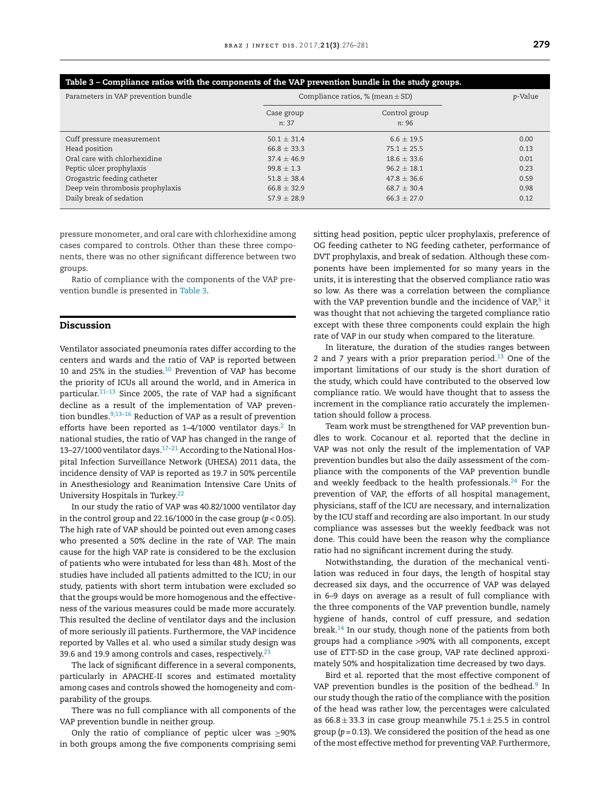| Table 3 - Compliance ratios with the components of the VAP prevention bundle in the study groups. |                                        |                        |      |  |  |  |  |
|---------------------------------------------------------------------------------------------------|----------------------------------------|------------------------|------|--|--|--|--|
| Parameters in VAP prevention bundle                                                               | Compliance ratios, $%$ (mean $\pm$ SD) | p-Value                |      |  |  |  |  |
|                                                                                                   | Case group<br>n: 37                    | Control group<br>n: 96 |      |  |  |  |  |
| Cuff pressure measurement                                                                         | $50.1 + 31.4$                          | $6.6 + 19.5$           | 0.00 |  |  |  |  |
| Head position                                                                                     | $66.8 \pm 33.3$                        | $75.1 + 25.5$          | 0.13 |  |  |  |  |
| Oral care with chlorhexidine                                                                      | $37.4 + 46.9$                          | $18.6 \pm 33.6$        | 0.01 |  |  |  |  |
| Peptic ulcer prophylaxis                                                                          | $99.8 + 1.3$                           | $96.2 + 18.1$          | 0.23 |  |  |  |  |
| Orogastric feeding catheter                                                                       | $51.8 \pm 38.4$                        | $47.8 \pm 36.6$        | 0.59 |  |  |  |  |
| Deep vein thrombosis prophylaxis                                                                  | $66.8 + 32.9$                          | $68.7 + 30.4$          | 0.98 |  |  |  |  |
| Daily break of sedation                                                                           | $57.9 + 28.9$                          | $66.3 + 27.0$          | 0.12 |  |  |  |  |

pressure monometer, and oral care with chlorhexidine among cases compared to controls. Other than these three components, there was no other significant difference between two groups.

Ratio of compliance with the components of the VAP prevention bundle is presented in Table 3.

# **Discussion**

Ventilator associated pneumonia rates differ according to the centers and wards and the ratio of VAP is reported between 10 and 25% in the studies[.10](#page-5-0) Prevention of VAP has become the priority of ICUs all around the world, and in America in particular[.11–13](#page-5-0) Since 2005, the rate of VAP had a significant decline as a result of the implementation of VAP prevention bundles.  $9,13-16$  Reduction of VAP as a result of prevention efforts have been reported as  $1-4/1000$  ventilator days.<sup>2</sup> In national studies, the ratio of VAP has changed in the range of 13–27/1000 ventilator days. $17-21$  According to the National Hospital Infection Surveillance Network (UHESA) 2011 data, the incidence density of VAP is reported as 19.7 in 50% percentile in Anesthesiology and Reanimation Intensive Care Units of University Hospitals in Turkey[.22](#page-5-0)

In our study the ratio of VAP was 40.82/1000 ventilator day in the control group and 22.16/1000 in the case group (*p* < 0.05). The high rate of VAP should be pointed out even among cases who presented a 50% decline in the rate of VAP. The main cause for the high VAP rate is considered to be the exclusion of patients who were intubated for less than 48h. Most of the studies have included all patients admitted to the ICU; in our study, patients with short term intubation were excluded so that the groups would be more homogenous and the effectiveness of the various measures could be made more accurately. This resulted the decline of ventilator days and the inclusion of more seriously ill patients. Furthermore, the VAP incidence reported by Valles et al. who used a similar study design was 39.6 and 19.9 among controls and cases, respectively.<sup>[23](#page-5-0)</sup>

The lack of significant difference in a several components, particularly in APACHE-II scores and estimated mortality among cases and controls showed the homogeneity and comparability of the groups.

There was no full compliance with all components of the VAP prevention bundle in neither group.

Only the ratio of compliance of peptic ulcer was  $\geq 90\%$ in both groups among the five components comprising semi sitting head position, peptic ulcer prophylaxis, preference of OG feeding catheter to NG feeding catheter, performance of DVT prophylaxis, and break of sedation. Although these components have been implemented for so many years in the units, it is interesting that the observed compliance ratio was so low. As there was a correlation between the compliance with the VAP prevention bundle and the incidence of VAP, $9$  it was thought that not achieving the targeted compliance ratio except with these three components could explain the high rate of VAP in our study when compared to the literature.

In literature, the duration of the studies ranges between 2 and 7 years with a prior preparation period. $13$  One of the important limitations of our study is the short duration of the study, which could have contributed to the observed low compliance ratio. We would have thought that to assess the increment in the compliance ratio accurately the implementation should follow a process.

Team work must be strengthened for VAP prevention bundles to work. Cocanour et al. reported that the decline in VAP was not only the result of the implementation of VAP prevention bundles but also the daily assessment of the compliance with the components of the VAP prevention bundle and weekly feedback to the health professionals. $24$  For the prevention of VAP, the efforts of all hospital management, physicians, staff of the ICU are necessary, and internalization by the ICU staff and recording are also important. In our study compliance was assesses but the weekly feedback was not done. This could have been the reason why the compliance ratio had no significant increment during the study.

Notwithstanding, the duration of the mechanical ventilation was reduced in four days, the length of hospital stay decreased six days, and the occurrence of VAP was delayed in 6–9 days on average as a result of full compliance with the three components of the VAP prevention bundle, namely hygiene of hands, control of cuff pressure, and sedation break.<sup>[14](#page-5-0)</sup> In our study, though none of the patients from both groups had a compliance >90% with all components, except use of ETT-SD in the case group, VAP rate declined approximately 50% and hospitalization time decreased by two days.

Bird et al. reported that the most effective component of VAP prevention bundles is the position of the bedhead. $9$  In our study though the ratio of the compliance with the position of the head was rather low, the percentages were calculated as  $66.8 \pm 33.3$  in case group meanwhile  $75.1 \pm 25.5$  in control group (*p* = 0.13). We considered the position of the head as one of the most effective method for preventing VAP. Furthermore,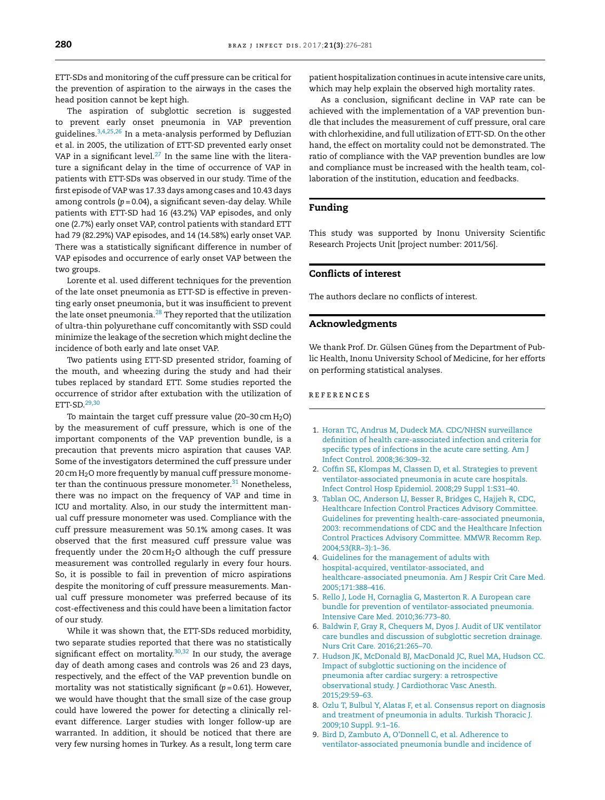<span id="page-4-0"></span>ETT-SDs and monitoring of the cuff pressure can be critical for the prevention of aspiration to the airways in the cases the head position cannot be kept high.

The aspiration of subglottic secretion is suggested to prevent early onset pneumonia in VAP prevention guidelines.3,4,25,26 In a meta-analysis performed by Defluzian et al. in 2005, the utilization of ETT-SD prevented early onset VAP in a significant level. $27$  In the same line with the literature a significant delay in the time of occurrence of VAP in patients with ETT-SDs was observed in our study. Time of the first episode of VAP was 17.33 days among cases and 10.43 days among controls (*p* = 0.04), a significant seven-day delay. While patients with ETT-SD had 16 (43.2%) VAP episodes, and only one (2.7%) early onset VAP, control patients with standard ETT had 79 (82.29%) VAP episodes, and 14 (14.58%) early onset VAP. There was a statistically significant difference in number of VAP episodes and occurrence of early onset VAP between the two groups.

Lorente et al. used different techniques for the prevention of the late onset pneumonia as ETT-SD is effective in preventing early onset pneumonia, but it was insufficient to prevent the late onset pneumonia.<sup>[28](#page-5-0)</sup> They reported that the utilization of ultra-thin polyurethane cuff concomitantly with SSD could minimize the leakage of the secretion which might decline the incidence of both early and late onset VAP.

Two patients using ETT-SD presented stridor, foaming of the mouth, and wheezing during the study and had their tubes replaced by standard ETT. Some studies reported the occurrence of stridor after extubation with the utilization of ETT-SD.[29,30](#page-5-0)

To maintain the target cuff pressure value (20-30 cm  $H_2O$ ) by the measurement of cuff pressure, which is one of the important components of the VAP prevention bundle, is a precaution that prevents micro aspiration that causes VAP. Some of the investigators determined the cuff pressure under 20 cm  $H_2$ O more frequently by manual cuff pressure monometer than the continuous pressure monometer. $31$  Nonetheless, there was no impact on the frequency of VAP and time in ICU and mortality. Also, in our study the intermittent manual cuff pressure monometer was used. Compliance with the cuff pressure measurement was 50.1% among cases. It was observed that the first measured cuff pressure value was frequently under the 20 cm  $H_2O$  although the cuff pressure measurement was controlled regularly in every four hours. So, it is possible to fail in prevention of micro aspirations despite the monitoring of cuff pressure measurements. Manual cuff pressure monometer was preferred because of its cost-effectiveness and this could have been a limitation factor of our study.

While it was shown that, the ETT-SDs reduced morbidity, two separate studies reported that there was no statistically significant effect on mortality. $30,32$  In our study, the average day of death among cases and controls was 26 and 23 days, respectively, and the effect of the VAP prevention bundle on mortality was not statistically significant (*p* = 0.61). However, we would have thought that the small size of the case group could have lowered the power for detecting a clinically relevant difference. Larger studies with longer follow-up are warranted. In addition, it should be noticed that there are very few nursing homes in Turkey. As a result, long term care

patient hospitalization continues in acute intensive care units, which may help explain the observed high mortality rates.

As a conclusion, significant decline in VAP rate can be achieved with the implementation of a VAP prevention bundle that includes the measurement of cuff pressure, oral care with chlorhexidine, and full utilization of ETT-SD. On the other hand, the effect on mortality could not be demonstrated. The ratio of compliance with the VAP prevention bundles are low and compliance must be increased with the health team, collaboration of the institution, education and feedbacks.

# **Funding**

This study was supported by Inonu University Scientific Research Projects Unit [project number: 2011/56].

# **Conflicts of interest**

The authors declare no conflicts of interest.

# **Acknowledgments**

We thank Prof. Dr. Gülsen Güneş from the Department of Public Health, Inonu University School of Medicine, for her efforts on performing statistical analyses.

# r e f e r enc e s

- 1. [Horan](http://refhub.elsevier.com/S1413-8670(16)30190-8/sbref0165) [TC,](http://refhub.elsevier.com/S1413-8670(16)30190-8/sbref0165) [Andrus](http://refhub.elsevier.com/S1413-8670(16)30190-8/sbref0165) [M,](http://refhub.elsevier.com/S1413-8670(16)30190-8/sbref0165) [Dudeck](http://refhub.elsevier.com/S1413-8670(16)30190-8/sbref0165) [MA.](http://refhub.elsevier.com/S1413-8670(16)30190-8/sbref0165) [CDC/NHSN](http://refhub.elsevier.com/S1413-8670(16)30190-8/sbref0165) [surveillance](http://refhub.elsevier.com/S1413-8670(16)30190-8/sbref0165) [definition](http://refhub.elsevier.com/S1413-8670(16)30190-8/sbref0165) [of](http://refhub.elsevier.com/S1413-8670(16)30190-8/sbref0165) [health](http://refhub.elsevier.com/S1413-8670(16)30190-8/sbref0165) [care-associated](http://refhub.elsevier.com/S1413-8670(16)30190-8/sbref0165) [infection](http://refhub.elsevier.com/S1413-8670(16)30190-8/sbref0165) [and](http://refhub.elsevier.com/S1413-8670(16)30190-8/sbref0165) [criteria](http://refhub.elsevier.com/S1413-8670(16)30190-8/sbref0165) [for](http://refhub.elsevier.com/S1413-8670(16)30190-8/sbref0165) [specific](http://refhub.elsevier.com/S1413-8670(16)30190-8/sbref0165) [types](http://refhub.elsevier.com/S1413-8670(16)30190-8/sbref0165) [of](http://refhub.elsevier.com/S1413-8670(16)30190-8/sbref0165) [infections](http://refhub.elsevier.com/S1413-8670(16)30190-8/sbref0165) [in](http://refhub.elsevier.com/S1413-8670(16)30190-8/sbref0165) [the](http://refhub.elsevier.com/S1413-8670(16)30190-8/sbref0165) [acute](http://refhub.elsevier.com/S1413-8670(16)30190-8/sbref0165) [care](http://refhub.elsevier.com/S1413-8670(16)30190-8/sbref0165) [setting.](http://refhub.elsevier.com/S1413-8670(16)30190-8/sbref0165) [Am](http://refhub.elsevier.com/S1413-8670(16)30190-8/sbref0165) [J](http://refhub.elsevier.com/S1413-8670(16)30190-8/sbref0165) [Infect](http://refhub.elsevier.com/S1413-8670(16)30190-8/sbref0165) [Control.](http://refhub.elsevier.com/S1413-8670(16)30190-8/sbref0165) [2008;36:309–32.](http://refhub.elsevier.com/S1413-8670(16)30190-8/sbref0165)
- 2. [Coffin](http://refhub.elsevier.com/S1413-8670(16)30190-8/sbref0170) [SE,](http://refhub.elsevier.com/S1413-8670(16)30190-8/sbref0170) [Klompas](http://refhub.elsevier.com/S1413-8670(16)30190-8/sbref0170) [M,](http://refhub.elsevier.com/S1413-8670(16)30190-8/sbref0170) [Classen](http://refhub.elsevier.com/S1413-8670(16)30190-8/sbref0170) [D,](http://refhub.elsevier.com/S1413-8670(16)30190-8/sbref0170) [et](http://refhub.elsevier.com/S1413-8670(16)30190-8/sbref0170) [al.](http://refhub.elsevier.com/S1413-8670(16)30190-8/sbref0170) [Strategies](http://refhub.elsevier.com/S1413-8670(16)30190-8/sbref0170) [to](http://refhub.elsevier.com/S1413-8670(16)30190-8/sbref0170) [prevent](http://refhub.elsevier.com/S1413-8670(16)30190-8/sbref0170) [ventilator-associated](http://refhub.elsevier.com/S1413-8670(16)30190-8/sbref0170) [pneumonia](http://refhub.elsevier.com/S1413-8670(16)30190-8/sbref0170) [in](http://refhub.elsevier.com/S1413-8670(16)30190-8/sbref0170) [acute](http://refhub.elsevier.com/S1413-8670(16)30190-8/sbref0170) [care](http://refhub.elsevier.com/S1413-8670(16)30190-8/sbref0170) [hospitals.](http://refhub.elsevier.com/S1413-8670(16)30190-8/sbref0170) [Infect](http://refhub.elsevier.com/S1413-8670(16)30190-8/sbref0170) [Control](http://refhub.elsevier.com/S1413-8670(16)30190-8/sbref0170) [Hosp](http://refhub.elsevier.com/S1413-8670(16)30190-8/sbref0170) [Epidemiol.](http://refhub.elsevier.com/S1413-8670(16)30190-8/sbref0170) [2008;29](http://refhub.elsevier.com/S1413-8670(16)30190-8/sbref0170) [Suppl](http://refhub.elsevier.com/S1413-8670(16)30190-8/sbref0170) [1:S31](http://refhub.elsevier.com/S1413-8670(16)30190-8/sbref0170)–[40.](http://refhub.elsevier.com/S1413-8670(16)30190-8/sbref0170)
- 3. [Tablan](http://refhub.elsevier.com/S1413-8670(16)30190-8/sbref0175) [OC,](http://refhub.elsevier.com/S1413-8670(16)30190-8/sbref0175) [Anderson](http://refhub.elsevier.com/S1413-8670(16)30190-8/sbref0175) [LJ,](http://refhub.elsevier.com/S1413-8670(16)30190-8/sbref0175) [Besser](http://refhub.elsevier.com/S1413-8670(16)30190-8/sbref0175) [R,](http://refhub.elsevier.com/S1413-8670(16)30190-8/sbref0175) [Bridges](http://refhub.elsevier.com/S1413-8670(16)30190-8/sbref0175) [C,](http://refhub.elsevier.com/S1413-8670(16)30190-8/sbref0175) [Hajjeh](http://refhub.elsevier.com/S1413-8670(16)30190-8/sbref0175) [R,](http://refhub.elsevier.com/S1413-8670(16)30190-8/sbref0175) [CDC,](http://refhub.elsevier.com/S1413-8670(16)30190-8/sbref0175) [Healthcare](http://refhub.elsevier.com/S1413-8670(16)30190-8/sbref0175) [Infection](http://refhub.elsevier.com/S1413-8670(16)30190-8/sbref0175) [Control](http://refhub.elsevier.com/S1413-8670(16)30190-8/sbref0175) [Practices](http://refhub.elsevier.com/S1413-8670(16)30190-8/sbref0175) [Advisory](http://refhub.elsevier.com/S1413-8670(16)30190-8/sbref0175) [Committee.](http://refhub.elsevier.com/S1413-8670(16)30190-8/sbref0175) [Guidelines](http://refhub.elsevier.com/S1413-8670(16)30190-8/sbref0175) [for](http://refhub.elsevier.com/S1413-8670(16)30190-8/sbref0175) [preventing](http://refhub.elsevier.com/S1413-8670(16)30190-8/sbref0175) [health-care-associated](http://refhub.elsevier.com/S1413-8670(16)30190-8/sbref0175) [pneumonia,](http://refhub.elsevier.com/S1413-8670(16)30190-8/sbref0175) [2003:](http://refhub.elsevier.com/S1413-8670(16)30190-8/sbref0175) [recommendations](http://refhub.elsevier.com/S1413-8670(16)30190-8/sbref0175) [of](http://refhub.elsevier.com/S1413-8670(16)30190-8/sbref0175) [CDC](http://refhub.elsevier.com/S1413-8670(16)30190-8/sbref0175) [and](http://refhub.elsevier.com/S1413-8670(16)30190-8/sbref0175) [the](http://refhub.elsevier.com/S1413-8670(16)30190-8/sbref0175) [Healthcare](http://refhub.elsevier.com/S1413-8670(16)30190-8/sbref0175) [Infection](http://refhub.elsevier.com/S1413-8670(16)30190-8/sbref0175) [Control](http://refhub.elsevier.com/S1413-8670(16)30190-8/sbref0175) [Practices](http://refhub.elsevier.com/S1413-8670(16)30190-8/sbref0175) [Advisory](http://refhub.elsevier.com/S1413-8670(16)30190-8/sbref0175) [Committee.](http://refhub.elsevier.com/S1413-8670(16)30190-8/sbref0175) [MMWR](http://refhub.elsevier.com/S1413-8670(16)30190-8/sbref0175) [Recomm](http://refhub.elsevier.com/S1413-8670(16)30190-8/sbref0175) [Rep.](http://refhub.elsevier.com/S1413-8670(16)30190-8/sbref0175) [2004;53\(RR–3\):1–36.](http://refhub.elsevier.com/S1413-8670(16)30190-8/sbref0175)
- 4. [Guidelines](http://refhub.elsevier.com/S1413-8670(16)30190-8/sbref0180) [for](http://refhub.elsevier.com/S1413-8670(16)30190-8/sbref0180) [the](http://refhub.elsevier.com/S1413-8670(16)30190-8/sbref0180) [management](http://refhub.elsevier.com/S1413-8670(16)30190-8/sbref0180) [of](http://refhub.elsevier.com/S1413-8670(16)30190-8/sbref0180) [adults](http://refhub.elsevier.com/S1413-8670(16)30190-8/sbref0180) [with](http://refhub.elsevier.com/S1413-8670(16)30190-8/sbref0180) [hospital-acquired,](http://refhub.elsevier.com/S1413-8670(16)30190-8/sbref0180) [ventilator-associated,](http://refhub.elsevier.com/S1413-8670(16)30190-8/sbref0180) [and](http://refhub.elsevier.com/S1413-8670(16)30190-8/sbref0180) [healthcare-associated](http://refhub.elsevier.com/S1413-8670(16)30190-8/sbref0180) [pneumonia.](http://refhub.elsevier.com/S1413-8670(16)30190-8/sbref0180) [Am](http://refhub.elsevier.com/S1413-8670(16)30190-8/sbref0180) [J](http://refhub.elsevier.com/S1413-8670(16)30190-8/sbref0180) [Respir](http://refhub.elsevier.com/S1413-8670(16)30190-8/sbref0180) [Crit](http://refhub.elsevier.com/S1413-8670(16)30190-8/sbref0180) [Care](http://refhub.elsevier.com/S1413-8670(16)30190-8/sbref0180) [Med.](http://refhub.elsevier.com/S1413-8670(16)30190-8/sbref0180) [2005;171:388–416.](http://refhub.elsevier.com/S1413-8670(16)30190-8/sbref0180)
- 5. [Rello](http://refhub.elsevier.com/S1413-8670(16)30190-8/sbref0185) [J,](http://refhub.elsevier.com/S1413-8670(16)30190-8/sbref0185) [Lode](http://refhub.elsevier.com/S1413-8670(16)30190-8/sbref0185) [H,](http://refhub.elsevier.com/S1413-8670(16)30190-8/sbref0185) [Cornaglia](http://refhub.elsevier.com/S1413-8670(16)30190-8/sbref0185) [G,](http://refhub.elsevier.com/S1413-8670(16)30190-8/sbref0185) [Masterton](http://refhub.elsevier.com/S1413-8670(16)30190-8/sbref0185) [R.](http://refhub.elsevier.com/S1413-8670(16)30190-8/sbref0185) [A](http://refhub.elsevier.com/S1413-8670(16)30190-8/sbref0185) [European](http://refhub.elsevier.com/S1413-8670(16)30190-8/sbref0185) [care](http://refhub.elsevier.com/S1413-8670(16)30190-8/sbref0185) [bundle](http://refhub.elsevier.com/S1413-8670(16)30190-8/sbref0185) [for](http://refhub.elsevier.com/S1413-8670(16)30190-8/sbref0185) [prevention](http://refhub.elsevier.com/S1413-8670(16)30190-8/sbref0185) [of](http://refhub.elsevier.com/S1413-8670(16)30190-8/sbref0185) [ventilator-associated](http://refhub.elsevier.com/S1413-8670(16)30190-8/sbref0185) [pneumonia.](http://refhub.elsevier.com/S1413-8670(16)30190-8/sbref0185) [Intensive](http://refhub.elsevier.com/S1413-8670(16)30190-8/sbref0185) [Care](http://refhub.elsevier.com/S1413-8670(16)30190-8/sbref0185) [Med.](http://refhub.elsevier.com/S1413-8670(16)30190-8/sbref0185) [2010;36:773–80.](http://refhub.elsevier.com/S1413-8670(16)30190-8/sbref0185)
- 6. [Baldwin](http://refhub.elsevier.com/S1413-8670(16)30190-8/sbref0190) [F,](http://refhub.elsevier.com/S1413-8670(16)30190-8/sbref0190) [Gray](http://refhub.elsevier.com/S1413-8670(16)30190-8/sbref0190) [R,](http://refhub.elsevier.com/S1413-8670(16)30190-8/sbref0190) [Chequers](http://refhub.elsevier.com/S1413-8670(16)30190-8/sbref0190) [M,](http://refhub.elsevier.com/S1413-8670(16)30190-8/sbref0190) [Dyos](http://refhub.elsevier.com/S1413-8670(16)30190-8/sbref0190) [J.](http://refhub.elsevier.com/S1413-8670(16)30190-8/sbref0190) [Audit](http://refhub.elsevier.com/S1413-8670(16)30190-8/sbref0190) [of](http://refhub.elsevier.com/S1413-8670(16)30190-8/sbref0190) [UK](http://refhub.elsevier.com/S1413-8670(16)30190-8/sbref0190) [ventilator](http://refhub.elsevier.com/S1413-8670(16)30190-8/sbref0190) [care](http://refhub.elsevier.com/S1413-8670(16)30190-8/sbref0190) [bundles](http://refhub.elsevier.com/S1413-8670(16)30190-8/sbref0190) [and](http://refhub.elsevier.com/S1413-8670(16)30190-8/sbref0190) [discussion](http://refhub.elsevier.com/S1413-8670(16)30190-8/sbref0190) [of](http://refhub.elsevier.com/S1413-8670(16)30190-8/sbref0190) [subglottic](http://refhub.elsevier.com/S1413-8670(16)30190-8/sbref0190) [secretion](http://refhub.elsevier.com/S1413-8670(16)30190-8/sbref0190) [drainage](http://refhub.elsevier.com/S1413-8670(16)30190-8/sbref0190). [Nurs](http://refhub.elsevier.com/S1413-8670(16)30190-8/sbref0190) [Crit](http://refhub.elsevier.com/S1413-8670(16)30190-8/sbref0190) [Care](http://refhub.elsevier.com/S1413-8670(16)30190-8/sbref0190). [2016;21:265–70.](http://refhub.elsevier.com/S1413-8670(16)30190-8/sbref0190)
- 7. [Hudson](http://refhub.elsevier.com/S1413-8670(16)30190-8/sbref0195) [JK,](http://refhub.elsevier.com/S1413-8670(16)30190-8/sbref0195) [McDonald](http://refhub.elsevier.com/S1413-8670(16)30190-8/sbref0195) [BJ,](http://refhub.elsevier.com/S1413-8670(16)30190-8/sbref0195) [MacDonald](http://refhub.elsevier.com/S1413-8670(16)30190-8/sbref0195) [JC,](http://refhub.elsevier.com/S1413-8670(16)30190-8/sbref0195) [Ruel](http://refhub.elsevier.com/S1413-8670(16)30190-8/sbref0195) [MA,](http://refhub.elsevier.com/S1413-8670(16)30190-8/sbref0195) [Hudson](http://refhub.elsevier.com/S1413-8670(16)30190-8/sbref0195) [CC.](http://refhub.elsevier.com/S1413-8670(16)30190-8/sbref0195) [Impact](http://refhub.elsevier.com/S1413-8670(16)30190-8/sbref0195) [of](http://refhub.elsevier.com/S1413-8670(16)30190-8/sbref0195) [subglottic](http://refhub.elsevier.com/S1413-8670(16)30190-8/sbref0195) [suctioning](http://refhub.elsevier.com/S1413-8670(16)30190-8/sbref0195) [on](http://refhub.elsevier.com/S1413-8670(16)30190-8/sbref0195) [the](http://refhub.elsevier.com/S1413-8670(16)30190-8/sbref0195) [incidence](http://refhub.elsevier.com/S1413-8670(16)30190-8/sbref0195) [of](http://refhub.elsevier.com/S1413-8670(16)30190-8/sbref0195) [pneumonia](http://refhub.elsevier.com/S1413-8670(16)30190-8/sbref0195) [after](http://refhub.elsevier.com/S1413-8670(16)30190-8/sbref0195) [cardiac](http://refhub.elsevier.com/S1413-8670(16)30190-8/sbref0195) [surgery:](http://refhub.elsevier.com/S1413-8670(16)30190-8/sbref0195) [a](http://refhub.elsevier.com/S1413-8670(16)30190-8/sbref0195) [retrospective](http://refhub.elsevier.com/S1413-8670(16)30190-8/sbref0195) [observational](http://refhub.elsevier.com/S1413-8670(16)30190-8/sbref0195) [study.](http://refhub.elsevier.com/S1413-8670(16)30190-8/sbref0195) [J](http://refhub.elsevier.com/S1413-8670(16)30190-8/sbref0195) [Cardiothorac](http://refhub.elsevier.com/S1413-8670(16)30190-8/sbref0195) [Vasc](http://refhub.elsevier.com/S1413-8670(16)30190-8/sbref0195) [Anesth.](http://refhub.elsevier.com/S1413-8670(16)30190-8/sbref0195) [2015;29:59](http://refhub.elsevier.com/S1413-8670(16)30190-8/sbref0195)–[63.](http://refhub.elsevier.com/S1413-8670(16)30190-8/sbref0195)
- 8. [Ozlu](http://refhub.elsevier.com/S1413-8670(16)30190-8/sbref0200) [T,](http://refhub.elsevier.com/S1413-8670(16)30190-8/sbref0200) [Bulbul](http://refhub.elsevier.com/S1413-8670(16)30190-8/sbref0200) [Y,](http://refhub.elsevier.com/S1413-8670(16)30190-8/sbref0200) [Alatas](http://refhub.elsevier.com/S1413-8670(16)30190-8/sbref0200) [F,](http://refhub.elsevier.com/S1413-8670(16)30190-8/sbref0200) [et](http://refhub.elsevier.com/S1413-8670(16)30190-8/sbref0200) [al.](http://refhub.elsevier.com/S1413-8670(16)30190-8/sbref0200) [Consensus](http://refhub.elsevier.com/S1413-8670(16)30190-8/sbref0200) [report](http://refhub.elsevier.com/S1413-8670(16)30190-8/sbref0200) [on](http://refhub.elsevier.com/S1413-8670(16)30190-8/sbref0200) [diagnosis](http://refhub.elsevier.com/S1413-8670(16)30190-8/sbref0200) [and](http://refhub.elsevier.com/S1413-8670(16)30190-8/sbref0200) [treatment](http://refhub.elsevier.com/S1413-8670(16)30190-8/sbref0200) [of](http://refhub.elsevier.com/S1413-8670(16)30190-8/sbref0200) [pneumonia](http://refhub.elsevier.com/S1413-8670(16)30190-8/sbref0200) [in](http://refhub.elsevier.com/S1413-8670(16)30190-8/sbref0200) [adults.](http://refhub.elsevier.com/S1413-8670(16)30190-8/sbref0200) [Turkish](http://refhub.elsevier.com/S1413-8670(16)30190-8/sbref0200) [Thoracic](http://refhub.elsevier.com/S1413-8670(16)30190-8/sbref0200) [J.](http://refhub.elsevier.com/S1413-8670(16)30190-8/sbref0200) [2009;10](http://refhub.elsevier.com/S1413-8670(16)30190-8/sbref0200) [Suppl.](http://refhub.elsevier.com/S1413-8670(16)30190-8/sbref0200) [9:1](http://refhub.elsevier.com/S1413-8670(16)30190-8/sbref0200)–[16.](http://refhub.elsevier.com/S1413-8670(16)30190-8/sbref0200)
- 9. [Bird](http://refhub.elsevier.com/S1413-8670(16)30190-8/sbref0205) [D,](http://refhub.elsevier.com/S1413-8670(16)30190-8/sbref0205) [Zambuto](http://refhub.elsevier.com/S1413-8670(16)30190-8/sbref0205) [A,](http://refhub.elsevier.com/S1413-8670(16)30190-8/sbref0205) [O'Donnell](http://refhub.elsevier.com/S1413-8670(16)30190-8/sbref0205) [C,](http://refhub.elsevier.com/S1413-8670(16)30190-8/sbref0205) [et](http://refhub.elsevier.com/S1413-8670(16)30190-8/sbref0205) [al.](http://refhub.elsevier.com/S1413-8670(16)30190-8/sbref0205) [Adherence](http://refhub.elsevier.com/S1413-8670(16)30190-8/sbref0205) [to](http://refhub.elsevier.com/S1413-8670(16)30190-8/sbref0205) [ventilator-associated](http://refhub.elsevier.com/S1413-8670(16)30190-8/sbref0205) [pneumonia](http://refhub.elsevier.com/S1413-8670(16)30190-8/sbref0205) [bundle](http://refhub.elsevier.com/S1413-8670(16)30190-8/sbref0205) [and](http://refhub.elsevier.com/S1413-8670(16)30190-8/sbref0205) [incidence](http://refhub.elsevier.com/S1413-8670(16)30190-8/sbref0205) [of](http://refhub.elsevier.com/S1413-8670(16)30190-8/sbref0205)